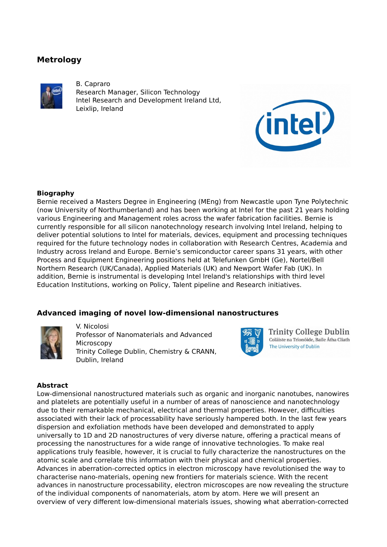# **Metrology**



B. Capraro Research Manager, Silicon Technology Intel Research and Development Ireland Ltd, Leixlip, Ireland



# **Biography**

Bernie received a Masters Degree in Engineering (MEng) from Newcastle upon Tyne Polytechnic (now University of Northumberland) and has been working at Intel for the past 21 years holding various Engineering and Management roles across the wafer fabrication facilities. Bernie is currently responsible for all silicon nanotechnology research involving Intel Ireland, helping to deliver potential solutions to Intel for materials, devices, equipment and processing techniques required for the future technology nodes in collaboration with Research Centres, Academia and Industry across Ireland and Europe. Bernie's semiconductor career spans 31 years, with other Process and Equipment Engineering positions held at Telefunken GmbH (Ge), Nortel/Bell Northern Research (UK/Canada), Applied Materials (UK) and Newport Wafer Fab (UK). In addition, Bernie is instrumental is developing Intel Ireland's relationships with third level Education Institutions, working on Policy, Talent pipeline and Research initiatives.

# **Advanced imaging of novel low-dimensional nanostructures**



V. Nicolosi Professor of Nanomaterials and Advanced **Microscopy** Trinity College Dublin, Chemistry & CRANN, Dublin, Ireland



**Trinity College Dublin** Coláiste na Tríonóide, Baile Átha Cliath The University of Dublin

### **Abstract**

Low-dimensional nanostructured materials such as organic and inorganic nanotubes, nanowires and platelets are potentially useful in a number of areas of nanoscience and nanotechnology due to their remarkable mechanical, electrical and thermal properties. However, difficulties associated with their lack of processability have seriously hampered both. In the last few years dispersion and exfoliation methods have been developed and demonstrated to apply universally to 1D and 2D nanostructures of very diverse nature, offering a practical means of processing the nanostructures for a wide range of innovative technologies. To make real applications truly feasible, however, it is crucial to fully characterize the nanostructures on the atomic scale and correlate this information with their physical and chemical properties. Advances in aberration-corrected optics in electron microscopy have revolutionised the way to characterise nano-materials, opening new frontiers for materials science. With the recent advances in nanostructure processability, electron microscopes are now revealing the structure of the individual components of nanomaterials, atom by atom. Here we will present an overview of very different low-dimensional materials issues, showing what aberration-corrected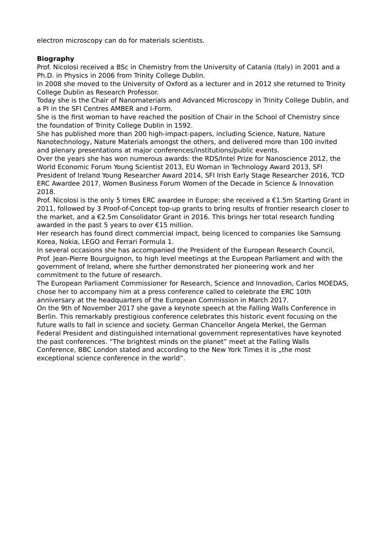electron microscopy can do for materials scientists.

# **Biography**

Prof. Nicolosi received a BSc in Chemistry from the University of Catania (Italy) in 2001 and a Ph.D. in Physics in 2006 from Trinity College Dublin.

In 2008 she moved to the University of Oxford as a lecturer and in 2012 she returned to Trinity College Dublin as Research Professor.

Today she is the Chair of Nanomaterials and Advanced Microscopy in Trinity College Dublin, and a PI in the SFI Centres AMBER and I-Form.

She is the first woman to have reached the position of Chair in the School of Chemistry since the foundation of Trinity College Dublin in 1592.

She has published more than 200 high-impact-papers, including Science, Nature, Nature Nanotechnology, Nature Materials amongst the others, and delivered more than 100 invited and plenary presentations at major conferences/institutions/public events.

Over the years she has won numerous awards: the RDS/Intel Prize for Nanoscience 2012, the World Economic Forum Young Scientist 2013, EU Woman in Technology Award 2013, SFI President of Ireland Young Researcher Award 2014, SFI Irish Early Stage Researcher 2016, TCD ERC Awardee 2017, Women Business Forum Women of the Decade in Science & Innovation 2018.

Prof. Nicolosi is the only 5 times ERC awardee in Europe: she received a €1.5m Starting Grant in 2011, followed by 3 Proof-of-Concept top-up grants to bring results of frontier research closer to the market, and a €2.5m Consolidator Grant in 2016. This brings her total research funding awarded in the past 5 years to over €15 million.

Her research has found direct commercial impact, being licenced to companies like Samsung Korea, Nokia, LEGO and Ferrari Formula 1.

In several occasions she has accompanied the President of the European Research Council, Prof. Jean-Pierre Bourguignon, to high level meetings at the European Parliament and with the government of Ireland, where she further demonstrated her pioneering work and her commitment to the future of research.

The European Parliament Commissioner for Research, Science and Innovadion, Carlos MOEDAS, chose her to accompany him at a press conference called to celebrate the ERC 10th anniversary at the headquarters of the European Commission in March 2017.

On the 9th of November 2017 she gave a keynote speech at the Falling Walls Conference in Berlin. This remarkably prestigious conference celebrates this historic event focusing on the future walls to fall in science and society. German Chancellor Angela Merkel, the German Federal President and distinguished international government representatives have keynoted the past conferences. "The brightest minds on the planet" meet at the Falling Walls Conference, BBC London stated and according to the New York Times it is "the most exceptional science conference in the world".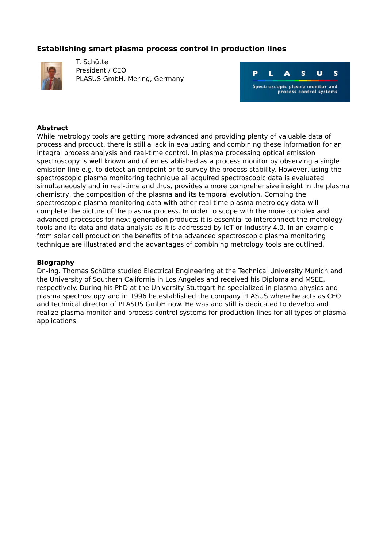# **Establishing smart plasma process control in production lines**



T. Schütte President / CEO PLASUS GmbH, Mering, Germany



### **Abstract**

While metrology tools are getting more advanced and providing plenty of valuable data of process and product, there is still a lack in evaluating and combining these information for an integral process analysis and real-time control. In plasma processing optical emission spectroscopy is well known and often established as a process monitor by observing a single emission line e.g. to detect an endpoint or to survey the process stability. However, using the spectroscopic plasma monitoring technique all acquired spectroscopic data is evaluated simultaneously and in real-time and thus, provides a more comprehensive insight in the plasma chemistry, the composition of the plasma and its temporal evolution. Combing the spectroscopic plasma monitoring data with other real-time plasma metrology data will complete the picture of the plasma process. In order to scope with the more complex and advanced processes for next generation products it is essential to interconnect the metrology tools and its data and data analysis as it is addressed by IoT or Industry 4.0. In an example from solar cell production the benefits of the advanced spectroscopic plasma monitoring technique are illustrated and the advantages of combining metrology tools are outlined.

#### **Biography**

Dr.-Ing. Thomas Schütte studied Electrical Engineering at the Technical University Munich and the University of Southern California in Los Angeles and received his Diploma and MSEE, respectively. During his PhD at the University Stuttgart he specialized in plasma physics and plasma spectroscopy and in 1996 he established the company PLASUS where he acts as CEO and technical director of PLASUS GmbH now. He was and still is dedicated to develop and realize plasma monitor and process control systems for production lines for all types of plasma applications.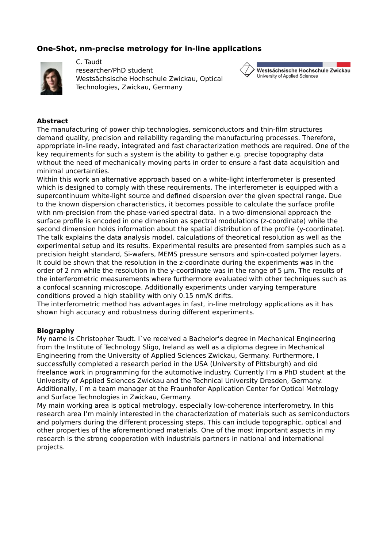# **One-Shot, nm-precise metrology for in-line applications**



C. Taudt researcher/PhD student Westsächsische Hochschule Zwickau, Optical Technologies, Zwickau, Germany



## **Abstract**

The manufacturing of power chip technologies, semiconductors and thin-film structures demand quality, precision and reliability regarding the manufacturing processes. Therefore, appropriate in-line ready, integrated and fast characterization methods are required. One of the key requirements for such a system is the ability to gather e.g. precise topography data without the need of mechanically moving parts in order to ensure a fast data acquisition and minimal uncertainties.

Within this work an alternative approach based on a white-light interferometer is presented which is designed to comply with these requirements. The interferometer is equipped with a supercontinuum white-light source and defined dispersion over the given spectral range. Due to the known dispersion characteristics, it becomes possible to calculate the surface profile with nm-precision from the phase-varied spectral data. In a two-dimensional approach the surface profile is encoded in one dimension as spectral modulations (z-coordinate) while the second dimension holds information about the spatial distribution of the profile (y-coordinate). The talk explains the data analysis model, calculations of theoretical resolution as well as the experimental setup and its results. Experimental results are presented from samples such as a precision height standard, Si-wafers, MEMS pressure sensors and spin-coated polymer layers. It could be shown that the resolution in the z-coordinate during the experiments was in the order of 2 nm while the resolution in the y-coordinate was in the range of 5  $\mu$ m. The results of the interferometric measurements where furthermore evaluated with other techniques such as a confocal scanning microscope. Additionally experiments under varying temperature conditions proved a high stability with only 0.15 nm/K drifts.

The interferometric method has advantages in fast, in-line metrology applications as it has shown high accuracy and robustness during different experiments.

### **Biography**

My name is Christopher Taudt. I`ve received a Bachelor's degree in Mechanical Engineering from the Institute of Technology Sligo, Ireland as well as a diploma degree in Mechanical Engineering from the University of Applied Sciences Zwickau, Germany. Furthermore, I successfully completed a research period in the USA (University of Pittsburgh) and did freelance work in programming for the automotive industry. Currently I'm a PhD student at the University of Applied Sciences Zwickau and the Technical University Dresden, Germany. Additionally, I`m a team manager at the Fraunhofer Application Center for Optical Metrology and Surface Technologies in Zwickau, Germany.

My main working area is optical metrology, especially low-coherence interferometry. In this research area I'm mainly interested in the characterization of materials such as semiconductors and polymers during the different processing steps. This can include topographic, optical and other properties of the aforementioned materials. One of the most important aspects in my research is the strong cooperation with industrials partners in national and international projects.